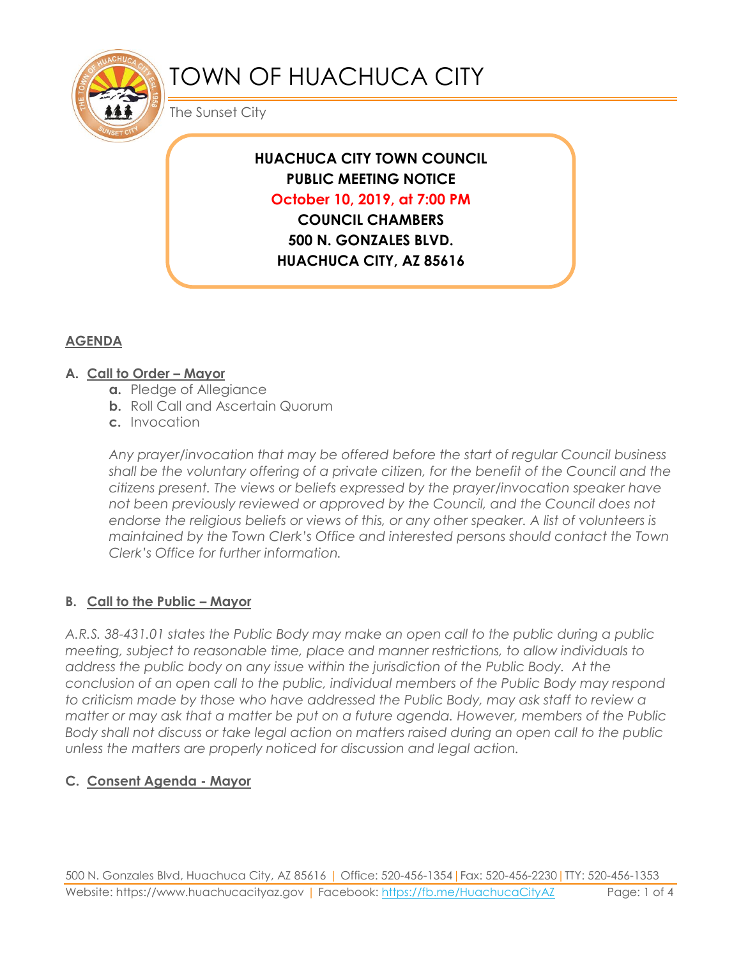

# TOWN OF HUACHUCA CITY

The Sunset City

# **HUACHUCA CITY TOWN COUNCIL PUBLIC MEETING NOTICE October 10, 2019, at 7:00 PM**

**COUNCIL CHAMBERS 500 N. GONZALES BLVD. HUACHUCA CITY, AZ 85616**

### **AGENDA**

#### **A. Call to Order – Mayor**

- **a.** Pledge of Allegiance
- **b.** Roll Call and Ascertain Quorum
- **c.** Invocation

*Any prayer/invocation that may be offered before the start of regular Council business shall be the voluntary offering of a private citizen, for the benefit of the Council and the citizens present. The views or beliefs expressed by the prayer/invocation speaker have not been previously reviewed or approved by the Council, and the Council does not endorse the religious beliefs or views of this, or any other speaker. A list of volunteers is maintained by the Town Clerk's Office and interested persons should contact the Town Clerk's Office for further information.*

#### **B. Call to the Public – Mayor**

*A.R.S. 38-431.01 states the Public Body may make an open call to the public during a public meeting, subject to reasonable time, place and manner restrictions, to allow individuals to address the public body on any issue within the jurisdiction of the Public Body. At the conclusion of an open call to the public, individual members of the Public Body may respond to criticism made by those who have addressed the Public Body, may ask staff to review a matter or may ask that a matter be put on a future agenda. However, members of the Public Body shall not discuss or take legal action on matters raised during an open call to the public unless the matters are properly noticed for discussion and legal action.*

#### **C. Consent Agenda - Mayor**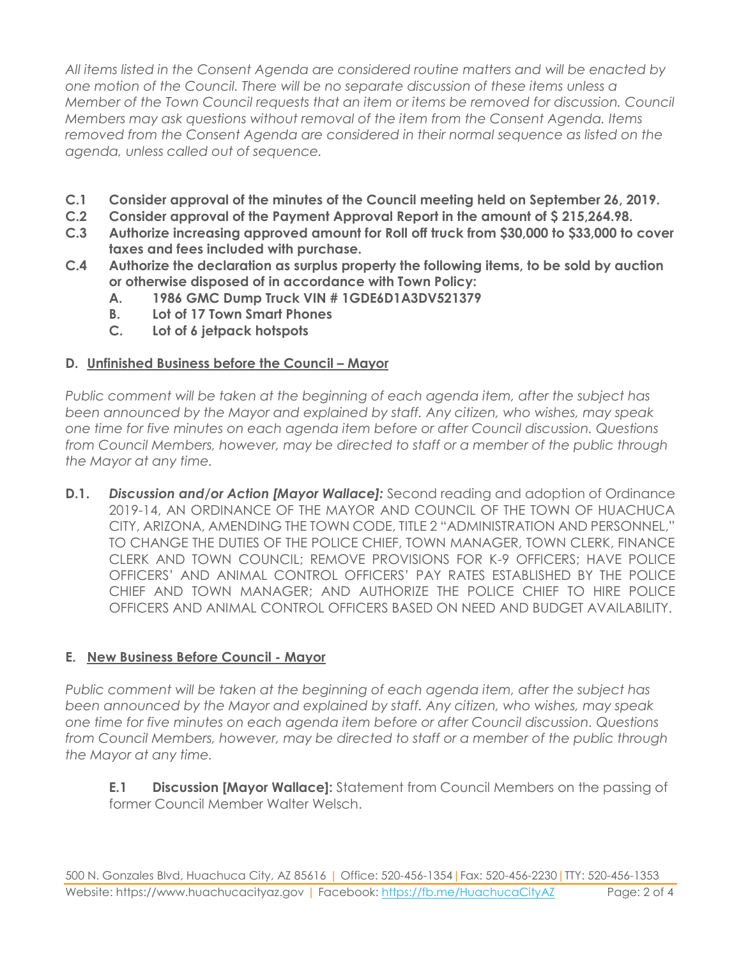*All items listed in the Consent Agenda are considered routine matters and will be enacted by one motion of the Council. There will be no separate discussion of these items unless a Member of the Town Council requests that an item or items be removed for discussion. Council Members may ask questions without removal of the item from the Consent Agenda. Items removed from the Consent Agenda are considered in their normal sequence as listed on the agenda, unless called out of sequence.*

- **C.1 Consider approval of the minutes of the Council meeting held on September 26, 2019.**
- **C.2 Consider approval of the Payment Approval Report in the amount of \$ 215,264.98.**
- **C.3 Authorize increasing approved amount for Roll off truck from \$30,000 to \$33,000 to cover taxes and fees included with purchase.**
- **C.4 Authorize the declaration as surplus property the following items, to be sold by auction or otherwise disposed of in accordance with Town Policy:**
	- **A. 1986 GMC Dump Truck VIN # 1GDE6D1A3DV521379**
	- **B. Lot of 17 Town Smart Phones**
	- **C. Lot of 6 jetpack hotspots**

#### **D. Unfinished Business before the Council – Mayor**

*Public comment will be taken at the beginning of each agenda item, after the subject has been announced by the Mayor and explained by staff. Any citizen, who wishes, may speak one time for five minutes on each agenda item before or after Council discussion. Questions from Council Members, however, may be directed to staff or a member of the public through the Mayor at any time.*

**D.1.** *Discussion and/or Action [Mayor Wallace]:* Second reading and adoption of Ordinance 2019-14, AN ORDINANCE OF THE MAYOR AND COUNCIL OF THE TOWN OF HUACHUCA CITY, ARIZONA, AMENDING THE TOWN CODE, TITLE 2 "ADMINISTRATION AND PERSONNEL," TO CHANGE THE DUTIES OF THE POLICE CHIEF, TOWN MANAGER, TOWN CLERK, FINANCE CLERK AND TOWN COUNCIL; REMOVE PROVISIONS FOR K-9 OFFICERS; HAVE POLICE OFFICERS' AND ANIMAL CONTROL OFFICERS' PAY RATES ESTABLISHED BY THE POLICE CHIEF AND TOWN MANAGER; AND AUTHORIZE THE POLICE CHIEF TO HIRE POLICE OFFICERS AND ANIMAL CONTROL OFFICERS BASED ON NEED AND BUDGET AVAILABILITY.

#### **E. New Business Before Council - Mayor**

*Public comment will be taken at the beginning of each agenda item, after the subject has been announced by the Mayor and explained by staff. Any citizen, who wishes, may speak one time for five minutes on each agenda item before or after Council discussion. Questions from Council Members, however, may be directed to staff or a member of the public through the Mayor at any time.* 

**E.1 Discussion [Mayor Wallace]:** Statement from Council Members on the passing of former Council Member Walter Welsch.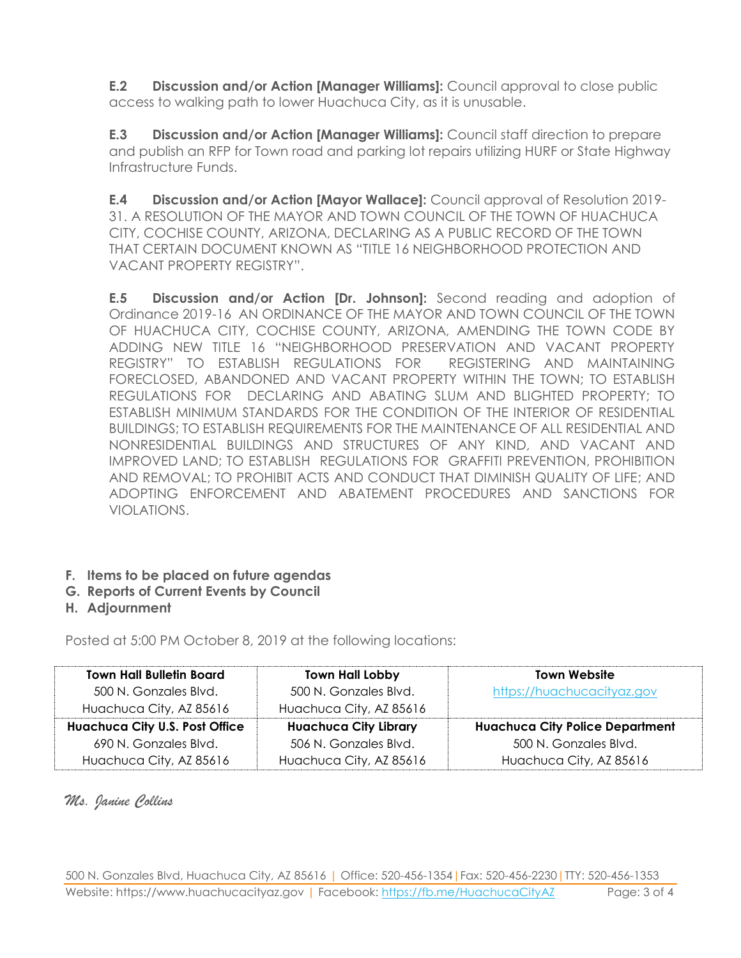**E.2 Discussion and/or Action [Manager Williams]:** Council approval to close public access to walking path to lower Huachuca City, as it is unusable.

**E.3 Discussion and/or Action [Manager Williams]:** Council staff direction to prepare and publish an RFP for Town road and parking lot repairs utilizing HURF or State Highway Infrastructure Funds.

**E.4 Discussion and/or Action [Mayor Wallace]:** Council approval of Resolution 2019- 31. A RESOLUTION OF THE MAYOR AND TOWN COUNCIL OF THE TOWN OF HUACHUCA CITY, COCHISE COUNTY, ARIZONA, DECLARING AS A PUBLIC RECORD OF THE TOWN THAT CERTAIN DOCUMENT KNOWN AS "TITLE 16 NEIGHBORHOOD PROTECTION AND VACANT PROPERTY REGISTRY".

**E.5 Discussion and/or Action [Dr. Johnson]:** Second reading and adoption of Ordinance 2019-16 AN ORDINANCE OF THE MAYOR AND TOWN COUNCIL OF THE TOWN OF HUACHUCA CITY, COCHISE COUNTY, ARIZONA, AMENDING THE TOWN CODE BY ADDING NEW TITLE 16 "NEIGHBORHOOD PRESERVATION AND VACANT PROPERTY REGISTRY" TO ESTABLISH REGULATIONS FOR REGISTERING AND MAINTAINING FORECLOSED, ABANDONED AND VACANT PROPERTY WITHIN THE TOWN; TO ESTABLISH REGULATIONS FOR DECLARING AND ABATING SLUM AND BLIGHTED PROPERTY; TO ESTABLISH MINIMUM STANDARDS FOR THE CONDITION OF THE INTERIOR OF RESIDENTIAL BUILDINGS; TO ESTABLISH REQUIREMENTS FOR THE MAINTENANCE OF ALL RESIDENTIAL AND NONRESIDENTIAL BUILDINGS AND STRUCTURES OF ANY KIND, AND VACANT AND IMPROVED LAND; TO ESTABLISH REGULATIONS FOR GRAFFITI PREVENTION, PROHIBITION AND REMOVAL; TO PROHIBIT ACTS AND CONDUCT THAT DIMINISH QUALITY OF LIFE; AND ADOPTING ENFORCEMENT AND ABATEMENT PROCEDURES AND SANCTIONS FOR VIOLATIONS.

- **F. Items to be placed on future agendas**
- **G. Reports of Current Events by Council**
- **H. Adjournment**

Posted at 5:00 PM October 8, 2019 at the following locations:

| <b>Town Hall Bulletin Board</b>       | <b>Town Hall Lobby</b>       | <b>Town Website</b>                    |
|---------------------------------------|------------------------------|----------------------------------------|
| 500 N. Gonzales Blvd.                 | 500 N. Gonzales Blvd.        | https://huachucacityaz.gov             |
| Huachuca City, AZ 85616               | Huachuca City, AZ 85616      |                                        |
| <b>Huachuca City U.S. Post Office</b> | <b>Huachuca City Library</b> | <b>Huachuca City Police Department</b> |
| 690 N. Gonzales Blvd.                 | 506 N. Gonzales Blvd.        | 500 N. Gonzales Blvd.                  |
| Huachuca City, AZ 85616               | Huachuca City, AZ 85616      | Huachuca City, AZ 85616                |

## *Ms. Janine Collins*